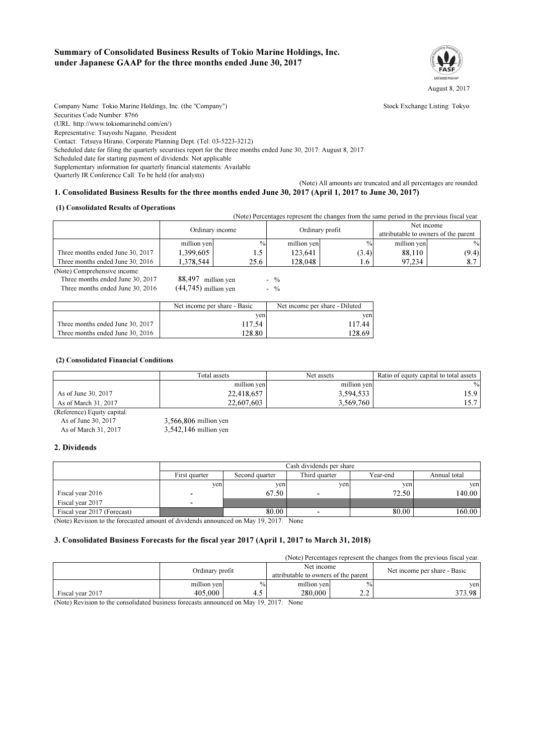### Summary of Consolidated Business Results of Tokio Marine Holdings, Inc. under Japanese GAAP for the three months ended June 30, 2017



Company Name: Tokio Marine Holdings. Inc. (the "Company") Stock Exchange Listing: Tokyo Securities Code Number: 8766 (URL: http://www.tokiomarinehd.com/en/) Representative: Tsuyoshi Nagano, President Contact: Tetsuya Hirano, Corporate Planning Dept. (Tel: 03-5223-3212) Scheduled date for filing the quarterly securities report for the three months ended June 30, 2017: August 8, 2017 Scheduled date for starting payment of dividends: Not applicable

Supplementary information for quarterly financial statements: Available

Quarterly IR Conference Call: To be held (for analysts)

## (Note) All amounts are truncated and all percentages are rounded.

# 1. Consolidated Business Results for the three months ended June 30, 2017 (April 1, 2017 to June 30, 2017)

#### (1) Consolidated Results of Operations

 (Note) Percentages represent the changes from the same period in the previous fiscal year. (Note) Comprehensive income: Three months ended June 30, 2017 Three months ended June 30, 2016 128,048 97,234 8.7  $\mathbf{0}$ Net income attributable to owners of the parent million yen 88,110 (9.4) (44,745) Ordinary profit million yen  $\%$ Ordinary income million yen 9/ Three months ended June 30, 2017 Three months ended June 30, 2016 1,378,544 25.6 1.6  $1,399,605$   $1.5$   $123,641$   $(3.4)$  $-$  %  $-$  % 88,497 million yen 123,641

|                                  | Net income per share - Basic | Net income per share - Diluted |
|----------------------------------|------------------------------|--------------------------------|
|                                  | yen                          | ven                            |
| Three months ended June 30, 2017 | 117.54                       | 117.44                         |
| Three months ended June 30, 2016 | 128.80                       | 128.69                         |

#### (2) Consolidated Financial Conditions

|                             | Total assets | Net assets  | Ratio of equity capital to total assets |  |
|-----------------------------|--------------|-------------|-----------------------------------------|--|
|                             | million yen  | million yen | $\%$                                    |  |
| As of June 30, 2017         | 22,418,657   | 3,594,533   | 15.9                                    |  |
| As of March 31, 2017        | 22,607,603   | 3.569.760   |                                         |  |
| (Reference) Fauity capital: |              |             |                                         |  |

| (Reference) Equity capital: |                         |
|-----------------------------|-------------------------|
| As of June 30, 2017         | $3.566.806$ million yen |
| As of March 31, 2017        | $3,542,146$ million yen |

### 2. Dividends

|                             | Cash dividends per share |                |                          |          |              |  |
|-----------------------------|--------------------------|----------------|--------------------------|----------|--------------|--|
|                             | First quarter            | Second quarter | Third quarter            | Year-end | Annual total |  |
|                             | yen                      | yen            | yen                      | yen      | yen          |  |
| Fiscal year 2016            | ٠.                       | 67.50          | $\overline{\phantom{a}}$ | 72.50    | 140.00       |  |
| Fiscal year 2017            | ۰                        |                |                          |          |              |  |
| Fiscal year 2017 (Forecast) |                          | 80.00          |                          | 80.00    | 160.00       |  |

(Note) Revision to the forecasted amount of dividends announced on May 19, 2017: None

### 3. Consolidated Business Forecasts for the fiscal year 2017 (April 1, 2017 to March 31, 2018)

(Note) Percentages represent the changes from the previous fiscal year.

|                  | Ordinary profit |      | Net income<br>attributable to owners of the parent |              | Net income per share - Basic |
|------------------|-----------------|------|----------------------------------------------------|--------------|------------------------------|
|                  | million yen     | $\%$ | million yen                                        | $\%$         | ven                          |
| Fiscal year 2017 | 405,000         | 7.J  | 280,000                                            | <u>_ . _</u> | 373.98                       |

(Note) Revision to the consolidated business forecasts announced on May 19, 2017: None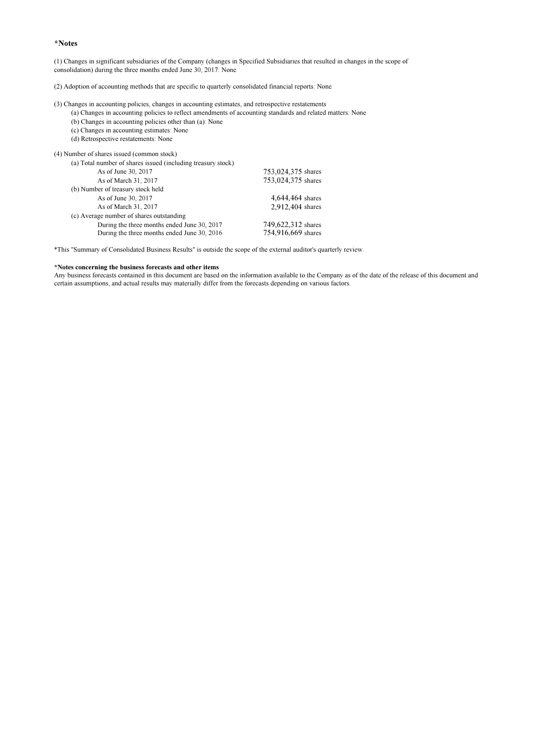#### \*Notes

(1) Changes in significant subsidiaries of the Company (changes in Specified Subsidiaries that resulted in changes in the scope of consolidation) during the three months ended June 30, 2017: None

(2) Adoption of accounting methods that are specific to quarterly consolidated financial reports: None

(3) Changes in accounting policies, changes in accounting estimates, and retrospective restatements

- (a) Changes in accounting policies to reflect amendments of accounting standards and related matters: None
- (b) Changes in accounting policies other than (a): None
- (c) Changes in accounting estimates: None
- (d) Retrospective restatements: None

(4) Number of shares issued (common stock)

| (a) Total number of shares issued (including treasury stock) |                    |
|--------------------------------------------------------------|--------------------|
| As of June 30, 2017                                          | 753,024,375 shares |
| As of March 31, 2017                                         | 753,024,375 shares |
| (b) Number of treasury stock held                            |                    |
| As of June 30, 2017                                          | 4,644,464 shares   |
| As of March 31, 2017                                         | 2,912,404 shares   |
| (c) Average number of shares outstanding                     |                    |
| During the three months ended June 30, 2017                  | 749,622,312 shares |
| During the three months ended June 30, 2016                  | 754,916,669 shares |
|                                                              |                    |

\*This "Summary of Consolidated Business Results" is outside the scope of the external auditor's quarterly review.

#### \*Notes concerning the business forecasts and other items

Any business forecasts contained in this document are based on the information available to the Company as of the date of the release of this document and certain assumptions, and actual results may materially differ from the forecasts depending on various factors.